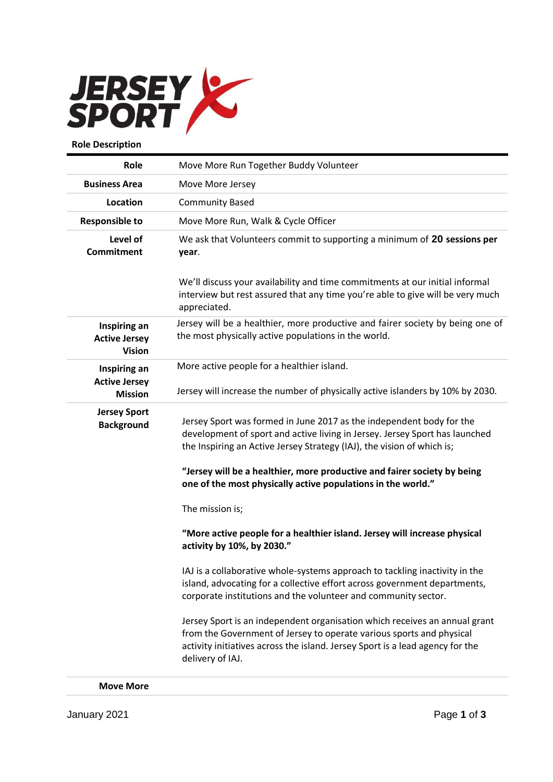

| Role                                                  | Move More Run Together Buddy Volunteer                                                                                                                                                                                                                                                                    |
|-------------------------------------------------------|-----------------------------------------------------------------------------------------------------------------------------------------------------------------------------------------------------------------------------------------------------------------------------------------------------------|
| <b>Business Area</b>                                  | Move More Jersey                                                                                                                                                                                                                                                                                          |
| Location                                              | <b>Community Based</b>                                                                                                                                                                                                                                                                                    |
| <b>Responsible to</b>                                 | Move More Run, Walk & Cycle Officer                                                                                                                                                                                                                                                                       |
| Level of<br><b>Commitment</b>                         | We ask that Volunteers commit to supporting a minimum of 20 sessions per<br>year.                                                                                                                                                                                                                         |
|                                                       | We'll discuss your availability and time commitments at our initial informal<br>interview but rest assured that any time you're able to give will be very much<br>appreciated.                                                                                                                            |
| Inspiring an<br><b>Active Jersey</b><br><b>Vision</b> | Jersey will be a healthier, more productive and fairer society by being one of<br>the most physically active populations in the world.                                                                                                                                                                    |
| Inspiring an                                          | More active people for a healthier island.                                                                                                                                                                                                                                                                |
| <b>Active Jersey</b><br><b>Mission</b>                | Jersey will increase the number of physically active islanders by 10% by 2030.                                                                                                                                                                                                                            |
| <b>Jersey Sport</b><br><b>Background</b>              | Jersey Sport was formed in June 2017 as the independent body for the<br>development of sport and active living in Jersey. Jersey Sport has launched<br>the Inspiring an Active Jersey Strategy (IAJ), the vision of which is;<br>"Jersey will be a healthier, more productive and fairer society by being |
|                                                       | one of the most physically active populations in the world."<br>The mission is;                                                                                                                                                                                                                           |
|                                                       | "More active people for a healthier island. Jersey will increase physical<br>activity by 10%, by 2030."                                                                                                                                                                                                   |
|                                                       | IAJ is a collaborative whole-systems approach to tackling inactivity in the<br>island, advocating for a collective effort across government departments,<br>corporate institutions and the volunteer and community sector.                                                                                |
|                                                       | Jersey Sport is an independent organisation which receives an annual grant<br>from the Government of Jersey to operate various sports and physical<br>activity initiatives across the island. Jersey Sport is a lead agency for the<br>delivery of IAJ.                                                   |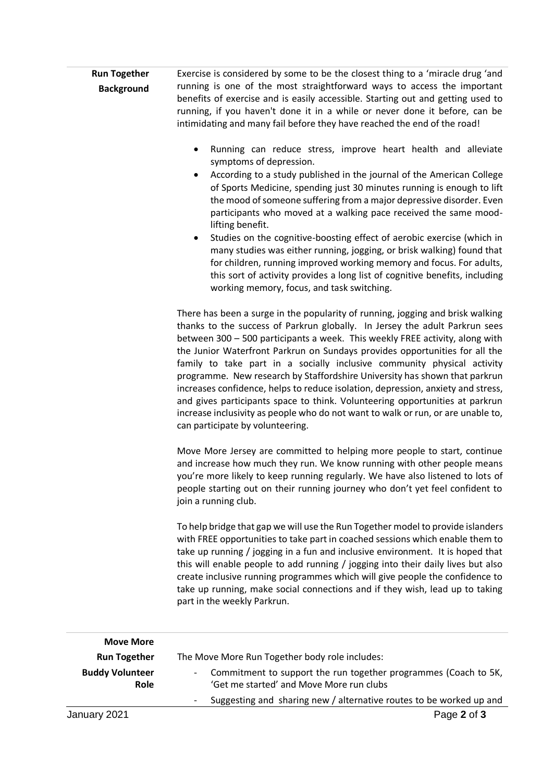| <b>Run Together</b> | Exercise is considered by some to be the closest thing to a 'miracle drug'and   |
|---------------------|---------------------------------------------------------------------------------|
| <b>Background</b>   | running is one of the most straightforward ways to access the important         |
|                     | benefits of exercise and is easily accessible. Starting out and getting used to |
|                     | running, if you haven't done it in a while or never done it before, can be      |
|                     | intimidating and many fail before they have reached the end of the road!        |

- Running can reduce stress, improve heart health and alleviate symptoms of depression.
- According to a study published in the journal of the American College of Sports Medicine, spending just 30 minutes running is enough to lift the mood of someone suffering from a major depressive disorder. Even participants who moved at a walking pace received the same moodlifting benefit.
- Studies on the cognitive-boosting effect of aerobic exercise (which in many studies was either running, jogging, or brisk walking) found that for children, running improved working memory and focus. For adults, this sort of activity provides a long list of cognitive benefits, including working memory, focus, and task switching.

There has been a surge in the popularity of running, jogging and brisk walking thanks to the success of Parkrun globally. In Jersey the adult Parkrun sees between 300 – 500 participants a week. This weekly FREE activity, along with the Junior Waterfront Parkrun on Sundays provides opportunities for all the family to take part in a socially inclusive community physical activity programme. New research by Staffordshire University has shown that parkrun increases confidence, helps to reduce isolation, depression, anxiety and stress, and gives participants space to think. Volunteering opportunities at parkrun increase inclusivity as people who do not want to walk or run, or are unable to, can participate by volunteering.

Move More Jersey are committed to helping more people to start, continue and increase how much they run. We know running with other people means you're more likely to keep running regularly. We have also listened to lots of people starting out on their running journey who don't yet feel confident to join a running club.

To help bridge that gap we will use the Run Together model to provide islanders with FREE opportunities to take part in coached sessions which enable them to take up running / jogging in a fun and inclusive environment. It is hoped that this will enable people to add running / jogging into their daily lives but also create inclusive running programmes which will give people the confidence to take up running, make social connections and if they wish, lead up to taking part in the weekly Parkrun.

| <b>Move More</b>               |                                                                                                                       |
|--------------------------------|-----------------------------------------------------------------------------------------------------------------------|
| <b>Run Together</b>            | The Move More Run Together body role includes:                                                                        |
| <b>Buddy Volunteer</b><br>Role | Commitment to support the run together programmes (Coach to 5K,<br>$\sim$<br>'Get me started' and Move More run clubs |
|                                | Suggesting and sharing new / alternative routes to be worked up and                                                   |
| January 2021                   | Page 2 of 3                                                                                                           |